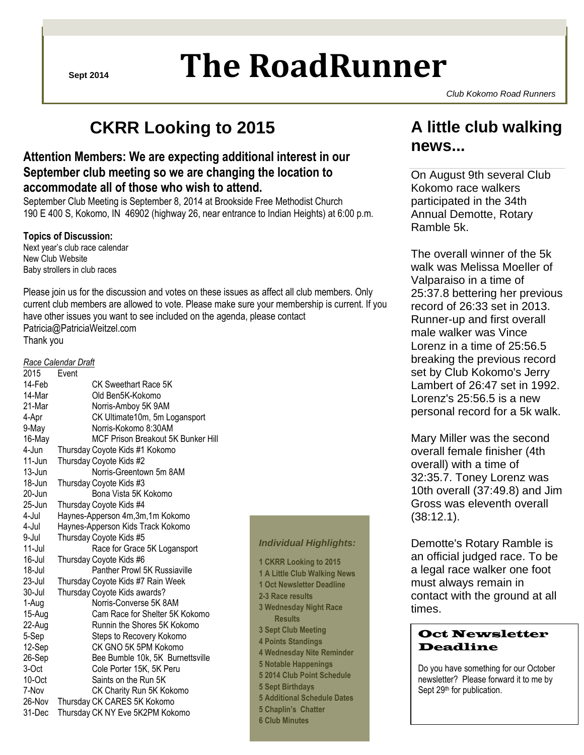# **Sept 2014 The RoadRunner**

*Club Kokomo Road Runners*

## **CKRR Looking to 2015**

### **Attention Members: We are expecting additional interest in our September club meeting so we are changing the location to accommodate all of those who wish to attend.**

September Club Meeting is September 8, 2014 at Brookside Free Methodist Church 190 E 400 S, Kokomo, IN 46902 (highway 26, near entrance to Indian Heights) at 6:00 p.m.

#### **Topics of Discussion:**

Next year"s club race calendar New Club Website Baby strollers in club races

Please join us for the discussion and votes on these issues as affect all club members. Only current club members are allowed to vote. Please make sure your membership is current. If you have other issues you want to see included on the agenda, please contact Patricia@PatriciaWeitzel.com Thank you

#### *Race Calendar Draft*

| 2015   | Event                              |
|--------|------------------------------------|
| 14-Feb | CK Sweethart Race 5K               |
| 14-Mar | Old Ben5K-Kokomo                   |
| 21-Mar | Norris-Amboy 5K 9AM                |
| 4-Apr  | CK Ultimate10m, 5m Logansport      |
| 9-May  | Norris-Kokomo 8:30AM               |
| 16-May | MCF Prison Breakout 5K Bunker Hill |
| 4-Jun  | Thursday Coyote Kids #1 Kokomo     |
| 11-Jun | Thursday Coyote Kids #2            |
| 13-Jun | Norris-Greentown 5m 8AM            |
| 18-Jun | Thursday Coyote Kids #3            |
| 20-Jun | Bona Vista 5K Kokomo               |
| 25-Jun | Thursday Coyote Kids #4            |
| 4-Jul  | Haynes-Apperson 4m, 3m, 1m Kokomo  |
| 4-Jul  | Haynes-Apperson Kids Track Kokomo  |
| 9-Jul  | Thursday Coyote Kids #5            |
| 11-Jul | Race for Grace 5K Logansport       |
| 16-Jul | Thursday Coyote Kids #6            |
| 18-Jul | Panther Prowl 5K Russiaville       |
| 23-Jul | Thursday Coyote Kids #7 Rain Week  |
| 30-Jul | Thursday Coyote Kids awards?       |
| 1-Aug  | Norris-Converse 5K 8AM             |
| 15-Aug | Cam Race for Shelter 5K Kokomo     |
| 22-Aug | Runnin the Shores 5K Kokomo        |
| 5-Sep  | Steps to Recovery Kokomo           |
| 12-Sep | CK GNO 5K 5PM Kokomo               |
| 26-Sep | Bee Bumble 10k, 5K Burnettsville   |
| 3-Oct  | Cole Porter 15K, 5K Peru           |
| 10-Oct | Saints on the Run 5K               |
| 7-Nov  | CK Charity Run 5K Kokomo           |
| 26-Nov | Thursday CK CARES 5K Kokomo        |
| 31-Dec | Thursday CK NY Eve 5K2PM Kokomo    |
|        |                                    |

#### *Individual Highlights:*

**1 CKRR Looking to 2015 1 A Little Club Walking News 1 Oct Newsletter Deadline 2-3 Race results 3 Wednesday Night Race Results 3 Sept Club Meeting 4 Points Standings 4 Wednesday Nite Reminder 5 Notable Happenings 5 2014 Club Point Schedule 5 Sept Birthdays 5 Additional Schedule Dates 5 Chaplin's Chatter 6 Club Minutes**

### **A little club walking news...**

On August 9th several Club Kokomo race walkers participated in the 34th Annual Demotte, Rotary Ramble 5k.

The overall winner of the 5k walk was Melissa Moeller of Valparaiso in a time of 25:37.8 bettering her previous record of 26:33 set in 2013. Runner-up and first overall male walker was Vince Lorenz in a time of 25:56.5 breaking the previous record set by Club Kokomo's Jerry Lambert of 26:47 set in 1992. Lorenz's 25:56.5 is a new personal record for a 5k walk.

Mary Miller was the second overall female finisher (4th overall) with a time of 32:35.7. Toney Lorenz was 10th overall (37:49.8) and Jim Gross was eleventh overall (38:12.1).

Demotte's Rotary Ramble is an official judged race. To be a legal race walker one foot must always remain in contact with the ground at all times.

#### Oct Newsletter Deadline

Do you have something for our October newsletter? Please forward it to me by Sept 29<sup>th</sup> for publication.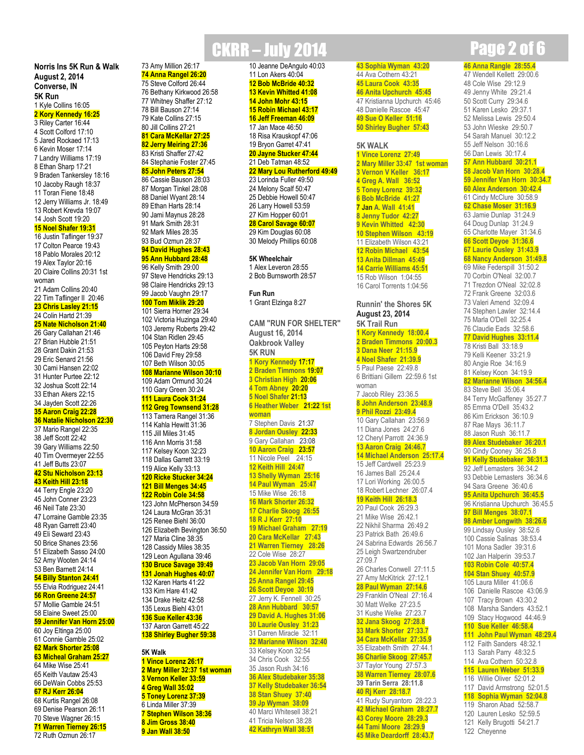**Norris Ins 5K Run & Walk August 2, 2014 Converse, IN 5K Run** 1 Kyle Collins 16:05 **2 Kory Kennedy 16:25** 3 Riley Carter 16:44 4 Scott Colford 17:10 5 Jared Rockaed 17:13 6 Kevin Moser 17:14 7 Landry Williams 17:19 8 Ethan Sharp 17:21 9 Braden Tankersley 18:16 10 Jacoby Raugh 18:37 11 Toran Fiene 18:48 12 Jerry Williams Jr. 18:49 13 Robert Krevda 19:07 14 Josh Scott 19:20 **15 Noel Shafer 19:31**

16 Justin Taflinger 19:37 17 Colton Pearce 19:43 18 Pablo Morales 20:12 19 Alex Taylor 20:16 20 Claire Collins 20:31 1st woman 21 Adam Collins 20:40 22 Tim Taflinger II 20:46 **23 Chris Lasley 21:15** 24 Colin Hartd 21:39 **25 Nate Nicholson 21:40** 26 Gary Callahan 21:46 27 Brian Hubble 21:51 28 Grant Dakin 21:53 29 Eric Senard 21:56 30 Cami Hansen 22:02 31 Hunter Purtee 22:12 32 Joshua Scott 22:14 33 Ethan Akers 22:15 34 Jayden Scott 22:26 **35 Aaron Craig 22:28 36 Natalie Nicholson 22:30** 37 Mario Rangel 22:35 38 Jeff Scott 22:42 39 Gary Williams 22:50 40 Tim Overmeyer 22:55 41 Jeff Butts 23:07 **42 Stu Nicholson 23:13 43 Keith Hill 23:18** 44 Terry Engle 23:20 45 John Conner 23:23 46 Neil Tate 23:30 47 Lorraine Gamble 23:35 48 Ryan Garrett 23:40 49 Eli Seward 23:43 50 Brice Shanes 23:56 51 Elizabeth Sasso 24:00 52 Amy Wooten 24:14 53 Ben Barnett 24:14 **54 Billy Stanton 24:41** 55 Elvia Rodriguez 24:41 **56 Ron Greene 24:57** 57 Mollie Gamble 24:51 58 Elaine Sweet 25:00 **59 Jennifer Van Horn 25:00**

#### 60 Joy Eltinga 25:00 61 Connie Gamble 25:02 **62 Mark Shorter 25:08**

**5K Walk**

**1 Vince Lorenz 26:17 2 Mary Miller 32:37 1st woman 3 Vernon Keller 33:59 4 Greg Wall 35:02 5 Toney Lorenz 37:39** 6 Linda Miller 37:39 **7 Stephen Wilson 38:36 8 Jim Gross 38:40 9 Jan Wall 38:50**

**63 Micheal Graham 25:27** 64 Mike Wise 25:41 65 Keith Vautaw 25:43 66 DeWain Cobbs 25:53 **67 RJ Kerr 26:04** 68 Kurtis Rangel 26:08 69 Denise Pearson 26:11 70 Steve Wagner 26:15 **71 Warren Tierney 26:15** 72 Ruth Ozmun 26:17

## CKRR – July 2014 Page 2 of 6

73 Amy Million 26:17 **74 Anna Rangel 26:20** 75 Steve Colford 26:44 76 Bethany Kirkwood 26:58 77 Whitney Shaffer 27:12 78 Bill Bauson 27:14 79 Kate Collins 27:15 80 Jill Collins 27:21 **81 Cara McKellar 27:25 82 Jerry Meiring 27:36** 83 Kristi Shaffer 27:42 84 Stephanie Foster 27:45 **85 John Peters 27:54** 86 Cassie Bauson 28:03 87 Morgan Tinkel 28:08 88 Daniel Wyant 28:14 89 Ethan Harts 28:14 90 Jami Maynus 28:28 91 Mark Smith 28:31 92 Mark Miles 28:35 93 Bud Ozmun 28:37 **94 David Hughes 28:43 95 Ann Hubbard 28:48** 96 Kelly Smith 29:00 97 Steve Hendricks 29:13 98 Claire Hendricks 29:13 99 Jacob Vaughn 29:17 **100 Tom Miklik 29:20** 101 Sierra Horner 29:34 102 Victoria Huzinga 29:40 103 Jeremy Roberts 29:42 104 Stan Ridlen 29:45 105 Peyton Harts 29:58 106 David Frey 29:58 107 Beth Wilson 30:05 **108 Marianne Wilson 30:10** 109 Adam Ormund 30:24 110 Gary Green 30:24 **111 Laura Cook 31:24 112 Greg Townsend 31:28** 113 Tamera Rangel 31:36 114 Kahla Hewitt 31:36 115 Jill Miles 31:45 116 Ann Morris 31:58 117 Kelsey Koon 32:23 118 Dallas Garrett 33:19 119 Alice Kelly 33:13 **120 Ricke Stucker 34:24 121 Bill Menges 34:45 122 Robin Cole 34:58** 123 John McPherson 34:59 124 Laura McGran 35:31 125 Renee Biehl 36:00 126 Elizabeth Bevington 36:50 127 Maria Cline 38:35 128 Cassidy Miles 38:35 129 Leon Agullana 39:46 **130 Bruce Savage 39:49 131 Jonah Hughes 40:07** 132 Karen Harts 41:22 133 Kim Hare 41:42 134 Drake Heitz 42:58 135 Lexus Biehl 43:01 **136 Sue Keller 43:36** 137 Aaron Garrett 45:22 **138 Shirley Bugher 59:38**

10 Jeanne DeAngulo 40:03 11 Lon Akers 40:04 **12 Bob McBride 40:32 13 Kevin Whitted 41:08 14 John Mohr 43:15 15 Robin Michael 43:17 16 Jeff Freeman 46:09** 17 Jan Mace 46:50 18 Risa Krauskopf 47:06 19 Bryon Garret 47:41 **20 Jayne Stucker 47:44** 21 Deb Tatman 48:52 **22 Mary Lou Rutherford 49:49** 23 Lorinda Fuller 49:50 24 Melony Scalf 50:47 25 Debbie Howell 50:47 26 Larry Howell 53:59 27 Kim Hopper 60:01 **28 Carol Savage 60:07** 29 Kim Douglas 60:08 30 Melody Phillips 60:08

**5K Wheelchair** 1 Alex Leveron 28:55 2 Bob Burnsworth 28:57

1 Grant Elzinga 8:27 **CAM "RUN FOR SHELTER"**

**Fun Run**

**August 16, 2014 Oakbrook Valley 5K RUN 1 Kory Kennedy 17:17 2 Braden Timmons 19:07 3 Christian High 20:06 4 Tom Abney 20:20 5 Noel Shafer 21:13 6 Heather Weber 21:22 1st woman** 7 Stephen Davis 21:37 **8 Jordan Ousley 22:33** 9 Gary Callahan 23:08 **10 Aaron Craig 23:57** 11 Nicole Peel 24:15 **12 Keith Hill 24:47 13 Shelly Wyman 25:16 14 Paul Wyman 25:47** 15 Mike Wise 26:18 **16 Mark Shorter 26:32 17 Charlie Skoog 26:55 18 R J Kerr 27:10 19 Michael Graham 27:19 20 Cara McKellar 27:43 21 Warren Tierney 28:26** 22 Cole Wise 28:27 **23 Jacob Van Horn 29:05 24 Jennifer Van Horn 29:18 25 Anna Rangel 29:45 26 Scott Deyoe 30:19** 27 Jerry K. Fennell 30:25 **28 Ann Hubbard 30:57 29 David A. Hughes 31:06 30 Laurie Ousley 31:23** 31 Darren Miracle 32:11 **32 Marianne Wilson 32:40** 33 Kelsey Koon 32:54 34 Chris Cook 32:55 35 Jason Rush 34:16 **36 Alex Studebaker 35:38 37 Kelly Studebaker 36:54 38 Stan Shuey 37:40 39 Jp Wyman 38:09** 40 Marci Whitesell 38:21 41 Tricia Nelson 38:28

**42 Kathryn Wall 38:51**

**43 Sophia Wyman 43:20** 44 Ava Cothern 43:21 **45 Laura Cook 43:35 46 Anita Upchurch 45:45** 47 Kristianna Upchurch 45:46 48 Danielle Rascoe 45:47 **49 Sue O Keller 51:16 50 Shirley Bugher 57:43 5K WALK 1 Vince Lorenz 27:49 2 Mary Miller 33:47 1st woman 3 Vernon V Keller 36:17 4 Greg A. Wall 36:52 5 Toney Lorenz 39:32 6 Bob McBride 41:27 7 Jan A. Wall 41:41 8 Jenny Tudor 42:27 9 Kevin Whitted 42:30 10 Stephen Wilson 43:19** 11 Elizabeth Wilson 43:21 **12 Robin Michael 43:54 13 Anita Dillman 45:49 14 Carrie Williams 45:51** 15 Rob Wilson 1:04:55 16 Carol Torrents 1:04:56 **Runnin' the Shores 5K August 23, 2014 5K Trail Run 1 Kory Kennedy 18:00.4 2 Braden Timmons 20:00.3 3 Dana Neer 21:15.9 4 Noel Shafer 21:39.9** 5 Paul Paese 22:49.8 6 Brittiani Gillem 22:59.6 1st woman 7 Jacob Riley 23:36.5 **8 John Anderson 23:48.9 9 Phil Rozzi 23:49.4** 10 Gary Callahan 23:56.9 11 Diana Jones 24:27.6 12 Cheryl Parrott 24:36.9 **13 Aaron Craig 24:46.7 14 Michael Anderson 25:17.4** 15 Jeff Cardwell 25:23.9 16 James Ball 25:24.4 17 Lori Working 26:00.5 18 Robert Lechner 26:07.4 **19 Keith Hill 26:18.3** 20 Paul Cook 26:29.3 21 Mike Wise 26:42.1 22 Nikhil Sharma 26:49.2 23 Patrick Bath 26:49.6 24 Sabrina Edwards 26:56.7 25 Leigh Swartzendruber 27:09.7 26 Charles Conwell 27:11.5 27 Amy McKitrick 27:12.1 **28 Paul Wyman 27:14.6** 29 Franklin O'Neal 27:16.4 30 Matt Welke 27:23.5 31 Kushe Welke 27:23.7 **32 Jana Skoog 27:28.8 33 Mark Shorter 27:33.7 34 Cara McKellar 27:35.9** 35 Elizabeth Smith 27:44.1 **36 Charlie Skoog 27:45.7** 37 Taylor Young 27:57.3 **38 Warren Tierney 28:07.6 39 Tarin Serra 28:11.8 40 Rj Kerr 28:18.7** 41 Rudy Suryantoro 28:22.3 **42 Michael Graham 28:27.7 43 Corey Moore 28:29.3**

**44 Tami Moore 28:29.9 45 Mike Deardorff 28:43.7**

 **Anna Rangle 28:55.4** Wendell Kellett 29:00.6 Cole Wise 29:12.9 Jenny White 29:21.4 Scott Curry 29:34.6 Karen Lesko 29:37.1 Melissa Lewis 29:50.4 John Wieske 29:50.7 Sarah Manuel 30:12.2 Jeff Nelson 30:16.6 Dan Lewis 30:17.4 **Ann Hubbard 30:21.1 Jacob Van Horn 30:28.4 Jennifer Van Horn 30:34.7 Alex Anderson 30:42.4** Cindy McClure 30:58.9 **Chase Moser 31:16.9** Jamie Dunlap 31:24.9 Doug Dunlap 31:24.9 Charlotte Mayer 31:34.6 **Scott Deyoe 31:36.6 Laurie Ousley 31:43.9 Nancy Anderson 31:49.8** Mike Federspill 31:50.2 Corbin O'Neal 32:00.7 Trezdon O'Neal 32:02.8 Frank Greene 32:03.6 Valeri Amend 32:09.4 Stephen Lawler 32:14.4 Marla O'Dell 32:25.4 Claudie Eads 32:58.6 **David Hughes 33:11.4** Kristi Ball 33:18.9 Kelli Keener 33:21.9 Angie Roe 34:16.9 Kelsey Koon 34:19.9 **Marianne Wilson 34:56.4** Steve Bell 35:06.4 Terry McGaffeney 35:27.7 Emma O'Dell 35:43.2 Kim Erickson 36:10.9 Rae Mays 36:11.7 Jason Rush 36:11.7 **Alex Studebaker 36:20.1** Cindy Cooney 36:25.8 **Kelly Studebaker 36:31.3** Jeff Lemasters 36:34.2 Debbie Lemasters 36:34.6 Sara Greene 36:40.6 **Anita Upchurch 36:45.5** Kristianna Upchurch 36:45.5 **Bill Menges 38:07.1 Amber Longwith 38:26.6** Lindsay Ousley 38:52.6 Cassie Salinas 38:53.4 Mona Sadler 39:31.6 Jan Halperin 39:53.7 **Robin Cole 40:57.4 Stan Shuey 40:57.9** Laura Miller 41:06.6 Danielle Rascoe 43:06.9 Tracy Brown 43:30.2 Marsha Sanders 43:52.1 Stacy Hogwood 44:46.9 **Sue Keller 46:58.4 John Paul Wyman 48:29.4** Faith Sanders 48:32.1 Sarah Parry 48:32.5 Ava Cothern 50:32.8 **Lauren Weber 51:33.9** Willie Oliver 52:01.2 David Armstrong 52:01.5 **Sophia Wyman 52:04.8** Sharon Abad 52:58.7 Lauren Lesko 52:59.5 Kelly Brugotti 54:21.7 122 Cheyenne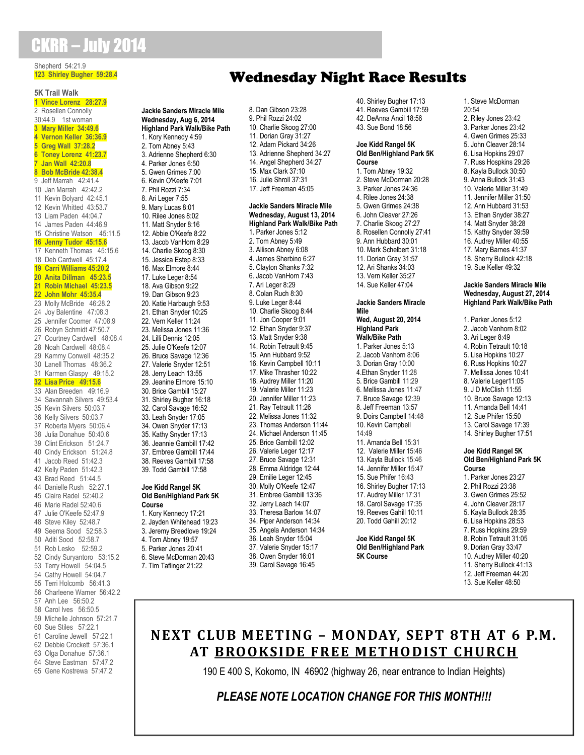### CKRR – July 2014

#### Shepherd 54:21.9 **123 Shirley Bugher 59:28.4**

#### **5K Trail Walk 1 Vince Lorenz 28:27.9** 2 Rosellen Connolly 30:44.9 1st woman

 **Mary Miller 34:49.6 Vernon Keller 36:36.9 Greg Wall 37:28.2 Toney Lorenz 41:23.7 Jan Wall 42:20.8 Bob McBride 42:38.4** Jeff Marrah 42:41.4 Jan Marrah 42:42.2 Kevin Bolyard 42:45.1 Kevin Whitted 43:53.7 Liam Paden 44:04.7 James Paden 44:46.9 Christine Watson 45:11.5 **Jenny Tudor 45:15.6** Kenneth Thomas 45:15.6 Deb Cardwell 45:17.4 **Carri Williams 45:20.2 Anita Dillman 45:23.5 Robin Michael 45:23.5 John Mohr 45:35.4** Molly McBride 46:28.2 Joy Balentine 47:08.3 Jennifer Coomer 47:08.9 Robyn Schmidt 47:50.7 Courtney Cardwell 48:08.4 Noah Cardwell 48:08.4 Kammy Conwell 48:35.2 Lanell Thomas 48:36.2 Karmen Glaspy 49:15.2 **Lisa Price 49:15.6** Alan Breeden 49:16.9 Savannah Silvers 49:53.4 Kevin Silvers 50:03.7 Kelly Silvers 50:03.7 Roberta Myers 50:06.4 Julia Donahue 50:40.6 Clint Erickson 51:24.7 Cindy Erickson 51:24.8 Jacob Reed 51:42.3 Kelly Paden 51:42.3 Brad Reed 51:44.5 Danielle Rush 52:27.1 Claire Radel 52:40.2 Marie Radel 52:40.6 Julie O'Keefe 52:47.9 Steve Kiley 52:48.7 Seema Sood 52:58.3 Aditi Sood 52:58.7 Rob Lesko 52:59.2 Cindy Suryantoro 53:15.2 Terry Howell 54:04.5 Cathy Howell 54:04.7 Terri Holcomb 56:41.3 Charleene Warner 56:42.2 Anh Lee 56:50.2 Carol Ives 56:50.5 Michelle Johnson 57:21.7 Sue Stiles 57:22.1 Caroline Jewell 57:22.1 Debbie Crockett 57:36.1 63 Olga Donahue 57:36 1

64 Steve Eastman 57:47.2 65 Gene Kostrewa 57:47.2

#### **Jackie Sanders Miracle Mile Wednesday, Aug 6, 2014 Highland Park Walk/Bike Path** 1. Kory Kennedy 4:59 2. Tom Abney 5:43 3. Adrienne Shepherd 6:30 4. Parker Jones 6:50 5. Gwen Grimes 7:00 6. Kevin O'Keefe 7:01 7. Phil Rozzi 7:34 8. Ari Leger 7:55 9. Mary Lucas 8:01 10. Rilee Jones 8:02 11. Matt Snyder 8:16 12. Abbie O'Keefe 8:22 13. Jacob VanHorn 8:29 14. Charlie Skoog 8:30 15. Jessica Estep 8:33 16. Max Elmore 8:44 17. Luke Leger 8:54 18. Ava Gibson 9:22 19. Dan Gibson 9:23 20. Katie Harbaugh 9:53 21. Ethan Snyder 10:25 22. Vern Keller 11:24 23. Melissa Jones 11:36 24. Lilli Dennis 12:05 25. Julie O'Keefe 12:07 26. Bruce Savage 12:36 27. Valerie Snyder 12:51 28. Jerry Leach 13:55 29. Jeanine Elmore 15:10 30. Brice Gambill 15:27 31. Shirley Bugher 16:18 32. Carol Savage 16:52 33. Leah Snyder 17:05 34. Owen Snyder 17:13 35. Kathy Snyder 17:13 36. Jeannie Gambill 17:42 37. Embree Gambill 17:44 38. Reeves Gambill 17:58 39. Todd Gambill 17:58 **Joe Kidd Rangel 5K**

#### **Old Ben/Highland Park 5K Course** 1. Kory Kennedy 17:21

2. Jayden Whitehead 19:23 3. Jeremy Breedlove 19:24 4. Tom Abney 19:57 5. Parker Jones 20:41 6. Steve McDorman 20:43 7. Tim Taflinger 21:22

### Wednesday Night Race Results

8. Dan Gibson 23:28 9. Phil Rozzi 24:02 10. Charlie Skoog 27:00 11. Dorian Gray 31:27 12. Adam Pickard 34:26 13. Adrienne Shepherd 34:27 14. Angel Shepherd 34:27 15. Max Clark 37:10 16. Julie Shroll 37:31 17. Jeff Freeman 45:05 **Jackie Sanders Miracle Mile Wednesday, August 13, 2014**

**Highland Park Walk/Bike Path** 1. Parker Jones 5:12 2. Tom Abney 5:49 3. Allison Abney 6:08 4. James Sherbino 6:27 5. Clayton Shanks 7:32 6. Jacob VanHorn 7:43 7. Ari Leger 8:29 8. Colan Ruch 8:30 9. Luke Leger 8:44 10. Charlie Skoog 8:44 11. Jon Cooper 9:01 12. Ethan Snyder 9:37 13. Matt Snyder 9:38 14. Robin Tetrault 9:45 15. Ann Hubbard 9:52 16. Kevin Campbell 10:11 17. Mike Thrasher 10:22 18. Audrey Miller 11:20 19. Valerie Miller 11:23 20. Jennifer Miller 11:23 21. Ray Tetrault 11:26 22. Melissa Jones 11:32 23. Thomas Anderson 11:44 24. Michael Anderson 11:45 25. Brice Gambill 12:02 26. Valerie Leger 12:17 27. Bruce Savage 12:31 28. Emma Aldridge 12:44 29. Emilie Leger 12:45 30. Molly O'Keefe 12:47 31. Embree Gambill 13:36 32. Jerry Leach 14:07 33. Theresa Barlow 14:07 34. Piper Anderson 14:34 35. Angela Anderson 14:34 36. Leah Snyder 15:04 37. Valerie Snyder 15:17 38. Owen Snyder 16:01 39. Carol Savage 16:45

40. Shirley Bugher 17:13 41. Reeves Gambill 17:59 42. DeAnna Ancil 18:56 43. Sue Bond 18:56

#### **Joe Kidd Rangel 5K Old Ben/Highland Park 5K Course**

1. Tom Abney 19:32 2. Steve McDorman 20:28 3. Parker Jones 24:36 4. Rilee Jones 24:38 5. Gwen Grimes 24:38 6. John Cleaver 27:26 7. Charlie Skoog 27:27 8. Rosellen Connolly 27:41 9. Ann Hubbard 30:01 10. Mark Schelbert 31:18 11. Dorian Gray 31:57 12. Ari Shanks 34:03 13. Vern Keller 35:27 14. Sue Keller 47:04

#### **Jackie Sanders Miracle Mile Wed, August 20, 2014**

**Highland Park Walk/Bike Path** 1. Parker Jones 5:13 2. Jacob Vanhorn 8:06 3. Dorian Gray 10:00 4.Ethan Snyder 11:28 5. Brice Gambill 11:29 6. Mellissa Jones 11:47 7. Bruce Savage 12:39 8. Jeff Freeman 13:57 9. Doirs Campbell 14:48 10. Kevin Campbell 14:49 11. Amanda Bell 15:31 12. Valerie Miller 15:46 13. Kayla Bullock 15:46 14. Jennifer Miller 15:47 15. Sue Phifer 16:43 16. Shirley Bugher 17:13 17. Audrey Miller 17:31 18. Carol Savage 17:35 19. Reeves Gahill 10:11 20. Todd Gahill 20:12

**Joe Kidd Rangel 5K Old Ben/Highland Park 5K Course**

1. Steve McDorman 20:54 2. Riley Jones 23:42 3. Parker Jones 23:42 4. Gwen Grimes 25:33 5. John Cleaver 28:14 6. Lisa Hopkins 29:07 7. Russ Hospkins 29:26 8. Kayla Bullock 30:50 9. Anna Bullock 31:43 10. Valerie Miller 31:49 11. Jennifer Miller 31:50 12. Ann Hubbard 31:53 13. Ethan Snyder 38:27 14. Matt Snyder 38:28 15. Kathy Snyder 39:59 16. Audrey Miller 40:55 17. Mary Barnes 41:37 18. Sherry Bullock 42:18 19. Sue Keller 49:32

#### **Jackie Sanders Miracle Mile Wednesday, August 27, 2014 Highland Park Walk/Bike Path**

1. Parker Jones 5:12 2. Jacob Vanhorn 8:02 3. Ari Leger 8:49 4. Robin Tetrault 10:18 5. Lisa Hopkins 10:27 6. Russ Hopkins 10:27 7. Mellissa Jones 10:41 8. Valerie Leger11:05 9. J D McClish 11:55 10. Bruce Savage 12:13 11. Amanda Bell 14:41 12. Sue Phifer 15:50 13. Carol Savage 17:39 14. Shirley Bugher 17:51 **Joe Kidd Rangel 5K Old Ben/Highland Park 5K Course** 1. Parker Jones 23:27

- 2. Phil Rozzi 23:38 3. Gwen Grimes 25:52 4. John Cleaver 28:17 5. Kayla Bullock 28:35 6. Lisa Hopkins 28:53 7. Russ Hopkins 29:59 8. Robin Tetrault 31:05 9. Dorian Gray 33:47 10. Audrey Miller 40:20 11. Sherry Bullock 41:13
- 12. Jeff Freeman 44:20
- 13. Sue Keller 48:50

### **NEXT CLUB MEETING – MONDAY, SEPT 8TH AT 6 P.M. AT BROOKSIDE FREE METHODIST CHURCH**

190 E 400 S, Kokomo, IN 46902 (highway 26, near entrance to Indian Heights)

### *PLEASE NOTE LOCATION CHANGE FOR THIS MONTH!!!*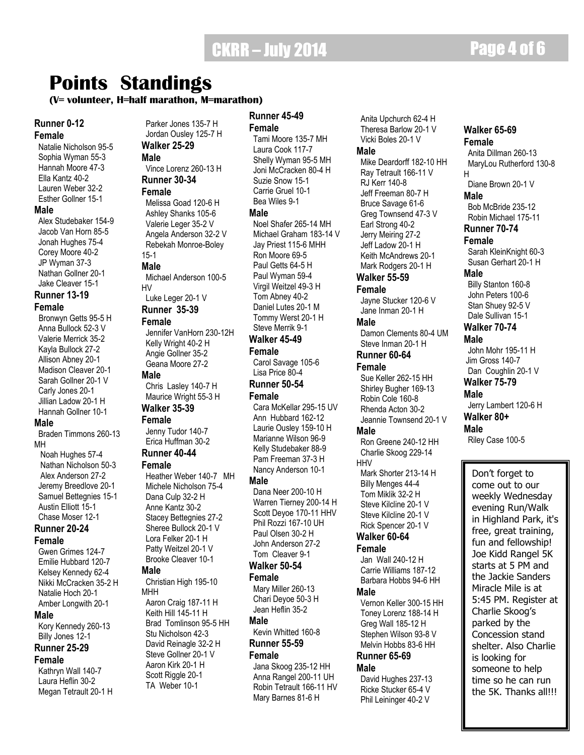**Walker 65-69 Female**

H

**Male**

 Anita Dillman 260-13 MaryLou Rutherford 130-8

Diane Brown 20-1 V

Bob McBride 235-12

### **Points Standings**

#### **Male (V= volunteer, H=half marathon, M=marathon)**

#### **Runner 0-12**

#### **Female**

 Natalie Nicholson 95-5 Sophia Wyman 55-3 Hannah Moore 47-3 Ella Kantz 40-2 Lauren Weber 32-2 Esther Gollner 15-1 **Male** Alex Studebaker 154-9 Jacob Van Horn 85-5 Jonah Hughes 75-4 Corey Moore 40-2

 JP Wyman 37-3 Nathan Gollner 20-1 Jake Cleaver 15-1

#### **Runner 13-19 Female**

 Bronwyn Getts 95-5 H Anna Bullock 52-3 V Valerie Merrick 35-2 Kayla Bullock 27-2 Allison Abney 20-1 Madison Cleaver 20-1 Sarah Gollner 20-1 V Carly Jones 20-1 Jillian Ladow 20-1 H Hannah Gollner 10-1

#### **Male**

 Braden Timmons 260-13 MH Noah Hughes 57-4 Nathan Nicholson 50-3 Alex Anderson 27-2 Jeremy Breedlove 20-1 Samuel Bettegnies 15-1 Austin Elliott 15-1 Chase Moser 12-1

#### **Runner 20-24 Female**

 Gwen Grimes 124-7 Emilie Hubbard 120-7 Kelsey Kennedy 62-4 Nikki McCracken 35-2 H Natalie Hoch 20-1 Amber Longwith 20-1 **Male** Kory Kennedy 260-13

#### Billy Jones 12-1 **Runner 25-29**

**Female**

 Kathryn Wall 140-7 Laura Heflin 30-2 Megan Tetrault 20-1 H

#### Parker Jones 135-7 H Jordan Ousley 125-7 H **Walker 25-29 Male** Vince Lorenz 260-13 H **Runner 30-34 Female** Melissa Goad 120-6 H Ashley Shanks 105-6 Valerie Leger 35-2 V

 Angela Anderson 32-2 V Rebekah Monroe-Boley 15-1 **Male**

 Michael Anderson 100-5 HV Luke Leger 20-1 V

**Runner 35-39**

#### **Female**

 Jennifer VanHorn 230-12H Kelly Wright 40-2 H Angie Gollner 35-2 Geana Moore 27-2 **Male** Chris Lasley 140-7 H

Maurice Wright 55-3 H

#### **Walker 35-39 Female**

 Jenny Tudor 140-7 Erica Huffman 30-2

#### **Runner 40-44 Female**

 Heather Weber 140-7 MH Michele Nicholson 75-4 Dana Culp 32-2 H Anne Kantz 30-2 Stacey Bettegnies 27-2 Sheree Bullock 20-1 V Lora Felker 20-1 H Patty Weitzel 20-1 V Brooke Cleaver 10-1 **Male** Christian High 195-10 MHH Aaron Craig 187-11 H Keith Hill 145-11 H Brad Tomlinson 95-5 HH

 Stu Nicholson 42-3 David Reinagle 32-2 H Steve Gollner 20-1 V Aaron Kirk 20-1 H Scott Riggle 20-1 TA Weber 10-1

#### **Runner 45-49**

**Female** Tami Moore 135-7 MH Laura Cook 117-7 Shelly Wyman 95-5 MH Joni McCracken 80-4 H Suzie Snow 15-1 Carrie Gruel 10-1 Bea Wiles 9-1 **Male** Noel Shafer 265-14 MH Michael Graham 183-14 V Jay Priest 115-6 MHH Ron Moore 69-5 Paul Getts 64-5 H Paul Wyman 59-4 Virgil Weitzel 49-3 H Tom Abney 40-2 Daniel Lutes 20-1 M Tommy Werst 20-1 H Steve Merrik 9-1 **Walker 45-49 Female** Carol Savage 105-6

 Lisa Price 80-4 **Runner 50-54**

**Female**

 Cara McKellar 295-15 UV Ann Hubbard 162-12 Laurie Ousley 159-10 H Marianne Wilson 96-9 Kelly Studebaker 88-9 Pam Freeman 37-3 H Nancy Anderson 10-1

#### **Male**

 Dana Neer 200-10 H Warren Tierney 200-14 H Scott Deyoe 170-11 HHV Phil Rozzi 167-10 UH Paul Olsen 30-2 H John Anderson 27-2 Tom Cleaver 9-1

### **Walker 50-54**

**Female** Mary Miller 260-13 Chari Deyoe 50-3 H Jean Heflin 35-2

#### **Male**

 Kevin Whitted 160-8 **Runner 55-59**

#### **Female**

 Jana Skoog 235-12 HH Anna Rangel 200-11 UH Robin Tetrault 166-11 HV Mary Barnes 81-6 H

 Theresa Barlow 20-1 V Vicki Boles 20-1 V **Male** Mike Deardorff 182-10 HH Ray Tetrault 166-11 V RJ Kerr 140-8 Jeff Freeman 80-7 H Bruce Savage 61-6 Greg Townsend 47-3 V Earl Strong 40-2 Jerry Meiring 27-2 Jeff Ladow 20-1 H Keith McAndrews 20-1 Mark Rodgers 20-1 H **Walker 55-59 Female** Jayne Stucker 120-6 V Jane Inman 20-1 H **Male** Damon Clements 80-4 UM Steve Inman 20-1 H **Runner 60-64 Female** Sue Keller 262-15 HH Shirley Bugher 169-13 Robin Cole 160-8 Rhenda Acton 30-2 Jeannie Townsend 20-1 V **Male** Ron Greene 240-12 HH Charlie Skoog 229-14 HHV Mark Shorter 213-14 H Billy Menges 44-4 Tom Miklik 32-2 H Steve Kilcline 20-1 V Steve Kilcline 20-1 V Rick Spencer 20-1 V **Walker 60-64 Female** Jan Wall 240-12 H Carrie Williams 187-12 Barbara Hobbs 94-6 HH **Male** Vernon Keller 300-15 HH Toney Lorenz 188-14 H

 Greg Wall 185-12 H Stephen Wilson 93-8 V Melvin Hobbs 83-6 HH **Runner 65-69**

 David Hughes 237-13 Ricke Stucker 65-4 V Phil Leininger 40-2 V

**Male**

Anita Upchurch 62-4 H

#### Robin Michael 175-11 **Runner 70-74 Female** Sarah KleinKnight 60-3 Susan Gerhart 20-1 H **Male** Billy Stanton 160-8 John Peters 100-6 Stan Shuey 92-5 V Dale Sullivan 15-1 **Walker 70-74 Male** John Mohr 195-11 H Jim Gross 140-7 Dan Coughlin 20-1 V **Walker 75-79**

**Male** Jerry Lambert 120-6 H **Walker 80+ Male**

Riley Case 100-5

Don't forget to come out to our weekly Wednesday evening Run/Walk in Highland Park, it's free, great training, fun and fellowship! Joe Kidd Rangel 5K starts at 5 PM and the Jackie Sanders Miracle Mile is at 5:45 PM. Register at Charlie Skoog's parked by the Concession stand shelter. Also Charlie is looking for someone to help time so he can run the 5K. Thanks all!!!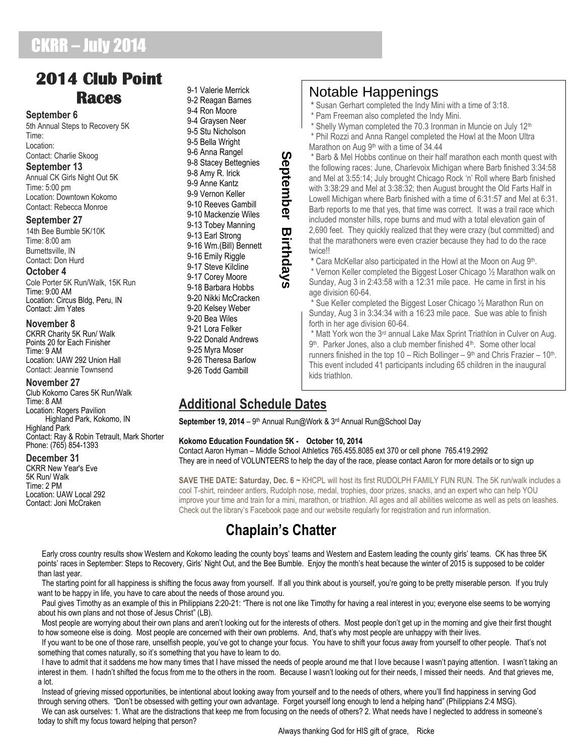## CKRR – July 2014

### **2014 Club Point Races**

#### **September 6**

5th Annual Steps to Recovery 5K Time: Location: Contact: Charlie Skoog

#### **September 13**

Annual CK Girls Night Out 5K Time: 5:00 pm Location: Downtown Kokomo Contact: Rebecca Monroe

#### **September 27**

14th Bee Bumble 5K/10K Time: 8:00 am Burnettsville, IN Contact: Don Hurd

#### **October 4**

Cole Porter 5K Run/Walk, 15K Run Time: 9:00 AM Location: Circus Bldg, Peru, IN Contact: Jim Yates

#### **November 8**

CKRR Charity 5K Run/ Walk Points 20 for Each Finisher Time: 9 AM Location: UAW 292 Union Hall Contact: Jeannie Townsend

#### **November 27**

Club Kokomo Cares 5K Run/Walk Time: 8 AM Location: Rogers Pavilion Highland Park, Kokomo, IN Highland Park Contact: Ray & Robin Tetrault, Mark Shorter Phone: (765) 854-1393

#### **December 31**

CKRR New Year's Eve 5K Run/ Walk Time: 2 PM Location: UAW Local 292 Contact: Joni McCraken

9-2 Reagan Barnes 9-4 Ron Moore 9-4 Graysen Neer 9-5 Stu Nicholson 9-5 Bella Wright 9-6 Anna Rangel 9-8 Stacey Bettegnies 9-8 Amy R. Irick 9-9 Anne Kantz 9-9 Vernon Keller 9-10 Reeves Gambill 9-10 Mackenzie Wiles 9-13 Tobey Manning 9-13 Earl Strong 9-16 Wm.(Bill) Bennett 9-16 Emily Riggle 9-17 Steve Kilcline 9-17 Corey Moore 9-18 Barbara Hobbs 9-20 Nikki McCracken 9-20 Kelsey Weber 9-20 Bea Wiles 9-21 Lora Felker 9-22 Donald Andrews 9-25 Myra Moser 9-26 Theresa Barlow 9-26 Todd Gambill

9-1 Valerie Merrick

### Notable Happenings

**\*** Susan Gerhart completed the Indy Mini with a time of 3:18.

- \* Pam Freeman also completed the Indy Mini.
- \* Shelly Wyman completed the 70.3 Ironman in Muncie on July 12<sup>th</sup>

\* Phil Rozzi and Anna Rangel completed the Howl at the Moon Ultra Marathon on Aug 9<sup>th</sup> with a time of 34.44

Barb & Mel Hobbs continue on their half marathon each month quest with the following races: June, Charlevoix Michigan where Barb finished 3:34:58 and Mel at 3:55:14; July brought Chicago Rock "n" Roll where Barb finished with 3:38:29 and Mel at 3:38:32; then August brought the Old Farts Half in Lowell Michigan where Barb finished with a time of 6:31:57 and Mel at 6:31. Barb reports to me that yes, that time was correct. It was a trail race which included monster hills, rope burns and mud with a total elevation gain of 2,690 feet. They quickly realized that they were crazy (but committed) and that the marathoners were even crazier because they had to do the race twice!!

**\*** Cara McKellar also participated in the Howl at the Moon on Aug 9th . \* Vernon Keller completed the Biggest Loser Chicago ½ Marathon walk on Sunday, Aug 3 in 2:43:58 with a 12:31 mile pace. He came in first in his age division 60-64.

Sue Keller completed the Biggest Loser Chicago 1/2 Marathon Run on Sunday, Aug 3 in 3:34:34 with a 16:23 mile pace. Sue was able to finish forth in her age division 60-64.

\* Matt York won the 3rd annual Lake Max Sprint Triathlon in Culver on Aug. 9<sup>th</sup>. Parker Jones, also a club member finished 4<sup>th</sup>. Some other local runners finished in the top  $10 -$ Rich Bollinger  $-9<sup>th</sup>$  and Chris Frazier  $-10<sup>th</sup>$ . This event included 41 participants including 65 children in the inaugural kids triathlon.

### **Additional Schedule Dates**

**September 19, 2014** – 9<sup>th</sup> Annual Run@Work & 3<sup>rd</sup> Annual Run@School Day

**September**

**Birthdays**

#### **Kokomo Education Foundation 5K - October 10, 2014**

Contact Aaron Hyman – Middle School Athletics 765.455.8085 ext 370 or cell phone 765.419.2992 They are in need of VOLUNTEERS to help the day of the race, please contact Aaron for more details or to sign up

**SAVE THE DATE: Saturday, Dec. 6 ~** KHCPL will host its first RUDOLPH FAMILY FUN RUN. The 5K run/walk includes a cool T-shirt, reindeer antlers, Rudolph nose, medal, trophies, door prizes, snacks, and an expert who can help YOU improve your time and train for a mini, marathon, or triathlon. All ages and all abilities welcome as well as pets on leashes. Check out the library"s Facebook page and our website regularly for registration and run information.

### **Chaplain's Chatter**

 Early cross country results show Western and Kokomo leading the county boys" teams and Western and Eastern leading the county girls" teams. CK has three 5K points' races in September: Steps to Recovery, Girls' Night Out, and the Bee Bumble. Enjoy the month's heat because the winter of 2015 is supposed to be colder than last year.

 The starting point for all happiness is shifting the focus away from yourself. If all you think about is yourself, you"re going to be pretty miserable person. If you truly want to be happy in life, you have to care about the needs of those around you.

Paul gives Timothy as an example of this in Philippians 2:20-21: "There is not one like Timothy for having a real interest in you; everyone else seems to be worrying about his own plans and not those of Jesus Christ" (LB).

 Most people are worrying about their own plans and aren"t looking out for the interests of others. Most people don"t get up in the morning and give their first thought to how someone else is doing. Most people are concerned with their own problems. And, that"s why most people are unhappy with their lives.

 If you want to be one of those rare, unselfish people, you"ve got to change your focus. You have to shift your focus away from yourself to other people. That"s not something that comes naturally, so it's something that you have to learn to do.

I have to admit that it saddens me how many times that I have missed the needs of people around me that I love because I wasn't paying attention. I wasn't taking an interest in them. I hadn't shifted the focus from me to the others in the room. Because I wasn't looking out for their needs, I missed their needs. And that grieves me, a lot.

 Instead of grieving missed opportunities, be intentional about looking away from yourself and to the needs of others, where you"ll find happiness in serving God through serving others. "Don"t be obsessed with getting your own advantage. Forget yourself long enough to lend a helping hand" (Philippians 2:4 MSG). We can ask ourselves: 1. What are the distractions that keep me from focusing on the needs of others? 2. What needs have I neglected to address in someone's today to shift my focus toward helping that person?

Always thanking God for HIS gift of grace, Ricke